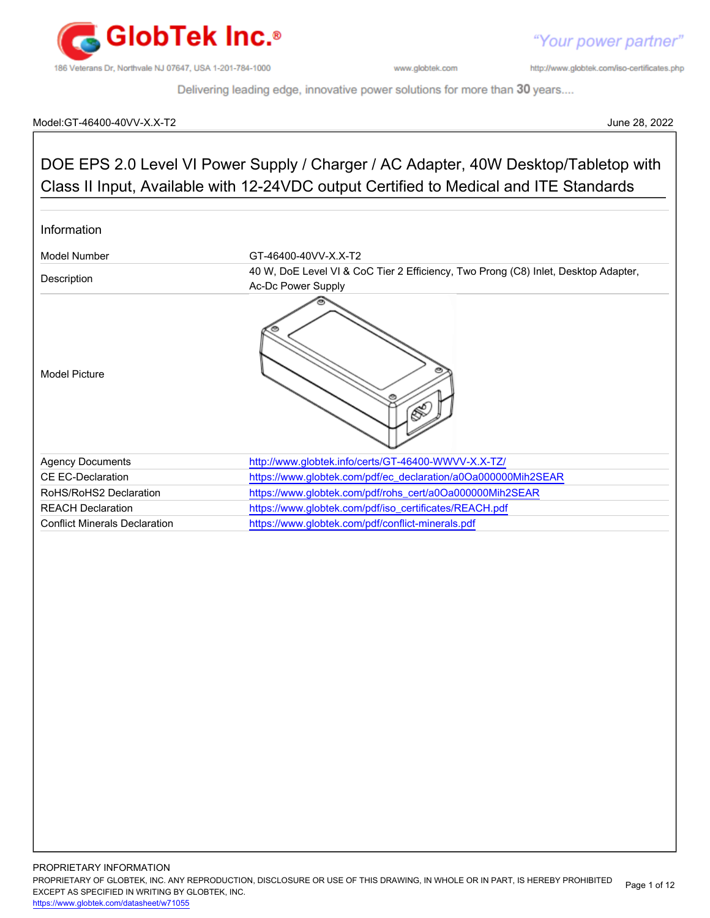

"Your power partner"

http://www.globtek.com/iso-certificates.php

Delivering leading edge, innovative power solutions for more than 30 years....

#### Model:GT-46400-40VV-X.X-T2 June 28, 2022

# DOE EPS 2.0 Level VI Power Supply / Charger / AC Adapter, 40W Desktop/Tabletop with Class II Input, Available with 12-24VDC output Certified to Medical and ITE Standards Information Model Number GT-46400-40VV-X.X-T2 Description **10 M, DoE Level VI & CoC Tier 2 Efficiency, Two Prong (C8) Inlet, Desktop Adapter,** Ac-Dc Power Supply Model Picture Agency Documents <http://www.globtek.info/certs/GT-46400-WWVV-X.X-TZ/> CE EC-Declaration [https://www.globtek.com/pdf/ec\\_declaration/a0Oa000000Mih2SEAR](https://www.globtek.com/pdf/ec_declaration/a0Oa000000Mih2SEAR) RoHS/RoHS2 Declaration [https://www.globtek.com/pdf/rohs\\_cert/a0Oa000000Mih2SEAR](https://www.globtek.com/pdf/rohs_cert/a0Oa000000Mih2SEAR) REACH Declaration **[https://www.globtek.com/pdf/iso\\_certificates/REACH.pdf](https://www.globtek.com/pdf/iso_certificates/REACH.pdf)** Conflict Minerals Declaration <https://www.globtek.com/pdf/conflict-minerals.pdf>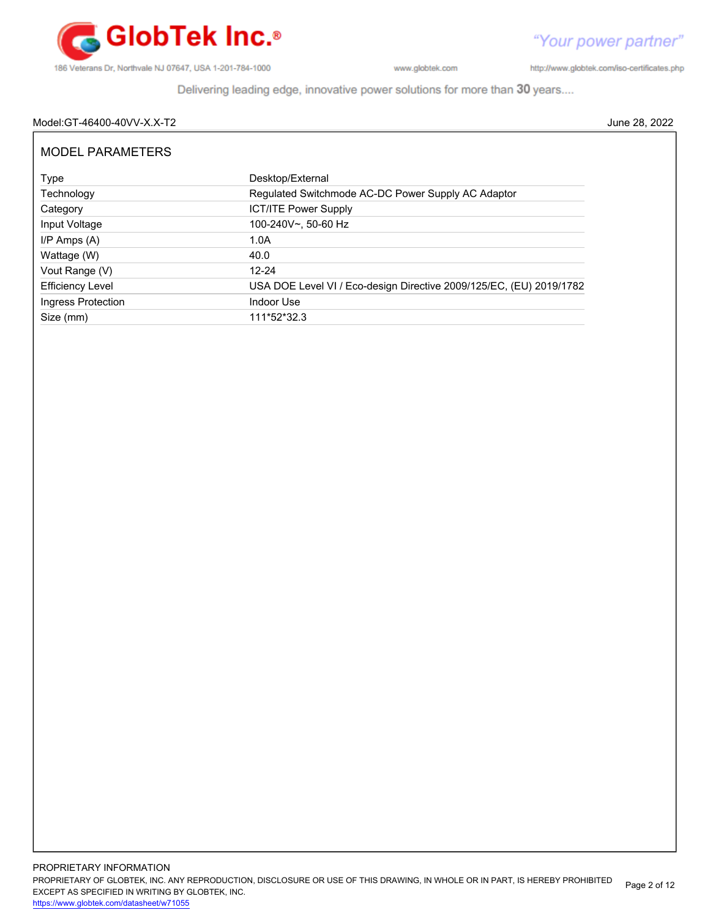

http://www.globtek.com/iso-certificates.php

Delivering leading edge, innovative power solutions for more than 30 years....

### Model:GT-46400-40VV-X.X-T2 June 28, 2022

| <b>MODEL PARAMETERS</b> |                                                                     |
|-------------------------|---------------------------------------------------------------------|
| Type                    | Desktop/External                                                    |
| Technology              | Regulated Switchmode AC-DC Power Supply AC Adaptor                  |
| Category                | <b>ICT/ITE Power Supply</b>                                         |
| Input Voltage           | 100-240V~, 50-60 Hz                                                 |
| $I/P$ Amps $(A)$        | 1.0A                                                                |
| Wattage (W)             | 40.0                                                                |
| Vout Range (V)          | $12 - 24$                                                           |
| <b>Efficiency Level</b> | USA DOE Level VI / Eco-design Directive 2009/125/EC, (EU) 2019/1782 |
| Ingress Protection      | Indoor Use                                                          |
| Size (mm)               | 111*52*32.3                                                         |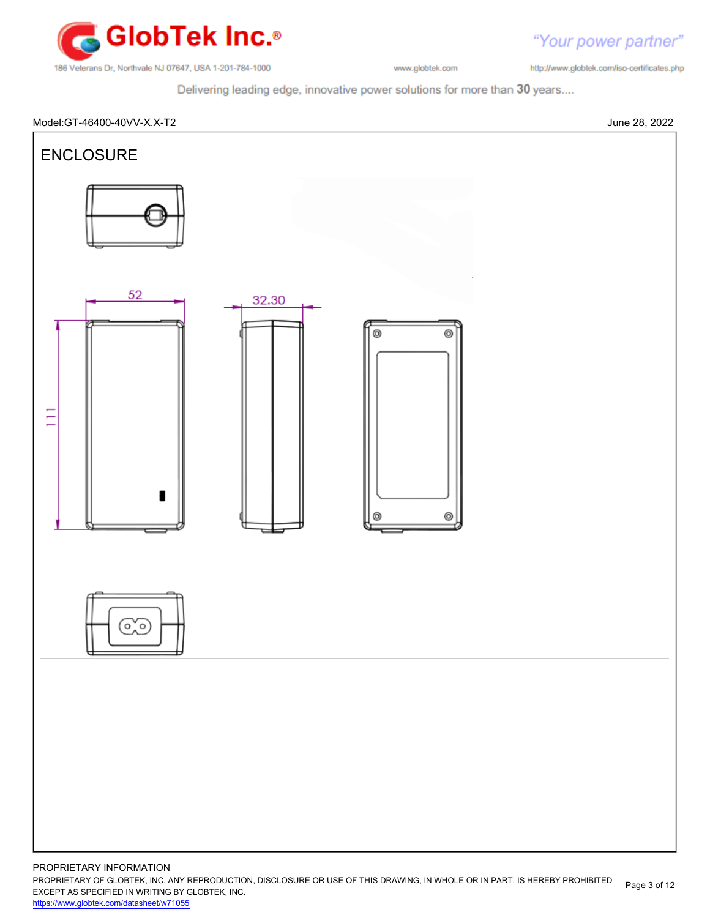

http://www.globtek.com/iso-certificates.php

"Your power partner"

Delivering leading edge, innovative power solutions for more than 30 years....



PROPRIETARY OF GLOBTEK, INC. ANY REPRODUCTION, DISCLOSURE OR USE OF THIS DRAWING, IN WHOLE OR IN PART, IS HEREBY PROHIBITED EXCEPT AS SPECIFIED IN WRITING BY GLOBTEK, INC. Page 3 of 12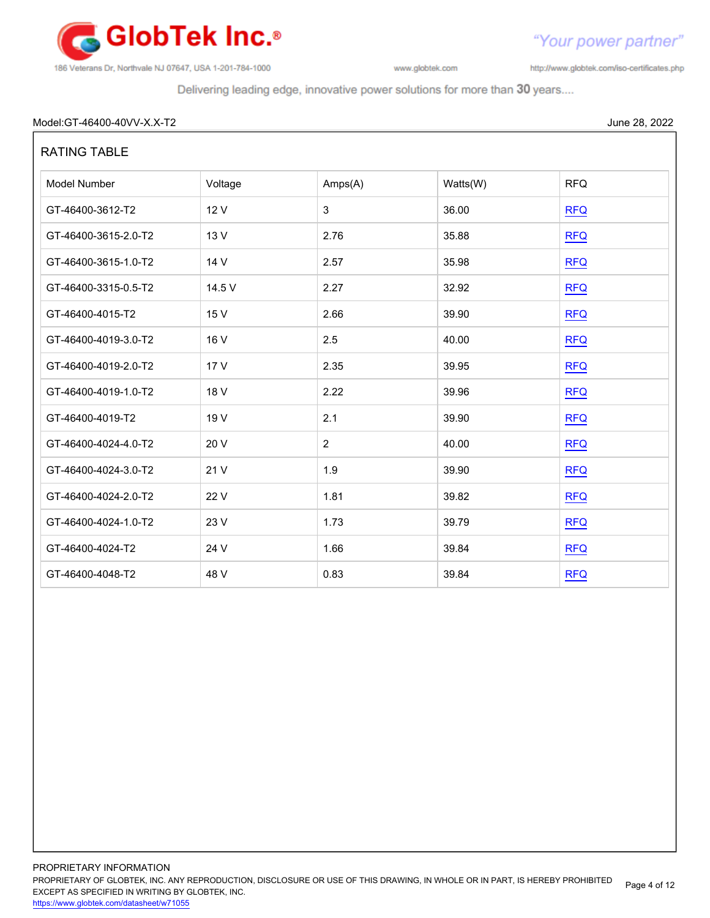

http://www.globtek.com/iso-certificates.php

"Your power partner"

Delivering leading edge, innovative power solutions for more than 30 years....

#### Model:GT-46400-40VV-X.X-T2 June 28, 2022

| <b>RATING TABLE</b>  |         |                |          |            |  |
|----------------------|---------|----------------|----------|------------|--|
| Model Number         | Voltage | Amps(A)        | Watts(W) | <b>RFQ</b> |  |
| GT-46400-3612-T2     | 12 V    | 3              | 36.00    | RFA        |  |
| GT-46400-3615-2.0-T2 | 13 V    | 2.76           | 35.88    | <b>RFQ</b> |  |
| GT-46400-3615-1.0-T2 | 14 V    | 2.57           | 35.98    | REQ        |  |
| GT-46400-3315-0.5-T2 | 14.5 V  | 2.27           | 32.92    | REQ        |  |
| GT-46400-4015-T2     | 15 V    | 2.66           | 39.90    | <b>RFQ</b> |  |
| GT-46400-4019-3.0-T2 | 16 V    | 2.5            | 40.00    | RFA        |  |
| GT-46400-4019-2.0-T2 | 17 V    | 2.35           | 39.95    | <b>RFQ</b> |  |
| GT-46400-4019-1.0-T2 | 18 V    | 2.22           | 39.96    | <b>RFQ</b> |  |
| GT-46400-4019-T2     | 19 V    | 2.1            | 39.90    | <b>RFQ</b> |  |
| GT-46400-4024-4.0-T2 | 20 V    | $\overline{2}$ | 40.00    | <b>RFQ</b> |  |
| GT-46400-4024-3.0-T2 | 21 V    | 1.9            | 39.90    | <b>RFQ</b> |  |
| GT-46400-4024-2.0-T2 | 22 V    | 1.81           | 39.82    | REQ        |  |
| GT-46400-4024-1.0-T2 | 23 V    | 1.73           | 39.79    | REQ        |  |
| GT-46400-4024-T2     | 24 V    | 1.66           | 39.84    | RFA        |  |
| GT-46400-4048-T2     | 48 V    | 0.83           | 39.84    | <b>RFQ</b> |  |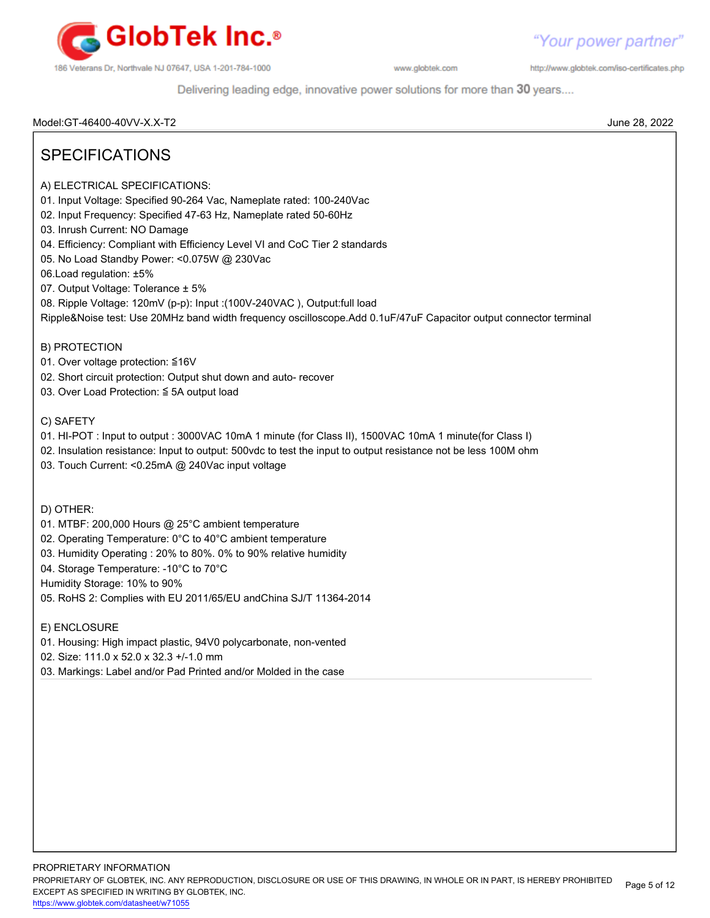

http://www.globtek.com/iso-certificates.php

Delivering leading edge, innovative power solutions for more than 30 years....

Model:GT-46400-40VV-X.X-T2 June 28, 2022

# SPECIFICATIONS

- A) ELECTRICAL SPECIFICATIONS:
- 01. Input Voltage: Specified 90-264 Vac, Nameplate rated: 100-240Vac
- 02. Input Frequency: Specified 47-63 Hz, Nameplate rated 50-60Hz
- 03. Inrush Current: NO Damage
- 04. Efficiency: Compliant with Efficiency Level VI and CoC Tier 2 standards
- 05. No Load Standby Power: <0.075W @ 230Vac
- 06.Load regulation: ±5%
- 07. Output Voltage: Tolerance ± 5%
- 08. Ripple Voltage: 120mV (p-p): Input :(100V-240VAC ), Output:full load

Ripple&Noise test: Use 20MHz band width frequency oscilloscope.Add 0.1uF/47uF Capacitor output connector terminal

B) PROTECTION

- 01. Over voltage protection: ≦16V
- 02. Short circuit protection: Output shut down and auto- recover
- 03. Over Load Protection: ≦ 5A output load

#### C) SAFETY

- 01. HI-POT : Input to output : 3000VAC 10mA 1 minute (for Class II), 1500VAC 10mA 1 minute(for Class I)
- 02. Insulation resistance: Input to output: 500vdc to test the input to output resistance not be less 100M ohm
- 03. Touch Current: <0.25mA @ 240Vac input voltage

D) OTHER:

- 01. MTBF: 200,000 Hours @ 25°C ambient temperature
- 02. Operating Temperature: 0°C to 40°C ambient temperature
- 03. Humidity Operating : 20% to 80%. 0% to 90% relative humidity
- 04. Storage Temperature: -10°C to 70°C

Humidity Storage: 10% to 90%

- 05. RoHS 2: Complies with EU 2011/65/EU andChina SJ/T 11364-2014
- E) ENCLOSURE
- 01. Housing: High impact plastic, 94V0 polycarbonate, non-vented
- 02. Size: 111.0 x 52.0 x 32.3 +/-1.0 mm
- 03. Markings: Label and/or Pad Printed and/or Molded in the case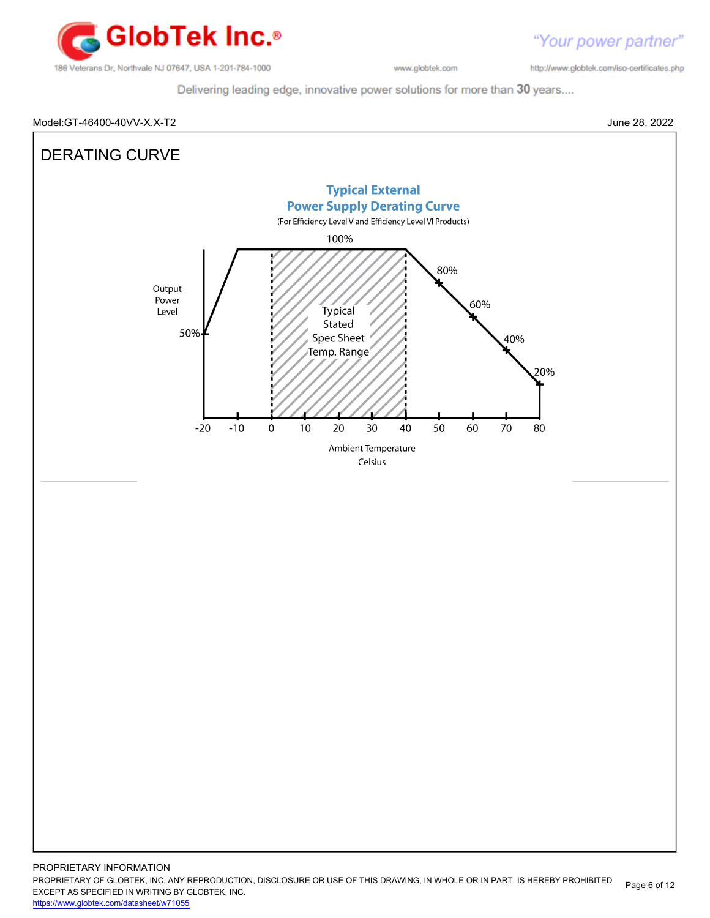

http://www.globtek.com/iso-certificates.php

Delivering leading edge, innovative power solutions for more than 30 years....

#### Model:GT-46400-40VV-X.X-T2 June 28, 2022



PROPRIETARY OF GLOBTEK, INC. ANY REPRODUCTION, DISCLOSURE OR USE OF THIS DRAWING, IN WHOLE OR IN PART, IS HEREBY PROHIBITED EXCEPT AS SPECIFIED IN WRITING BY GLOBTEK, INC. <https://www.globtek.com/datasheet/w71055> Page 6 of 12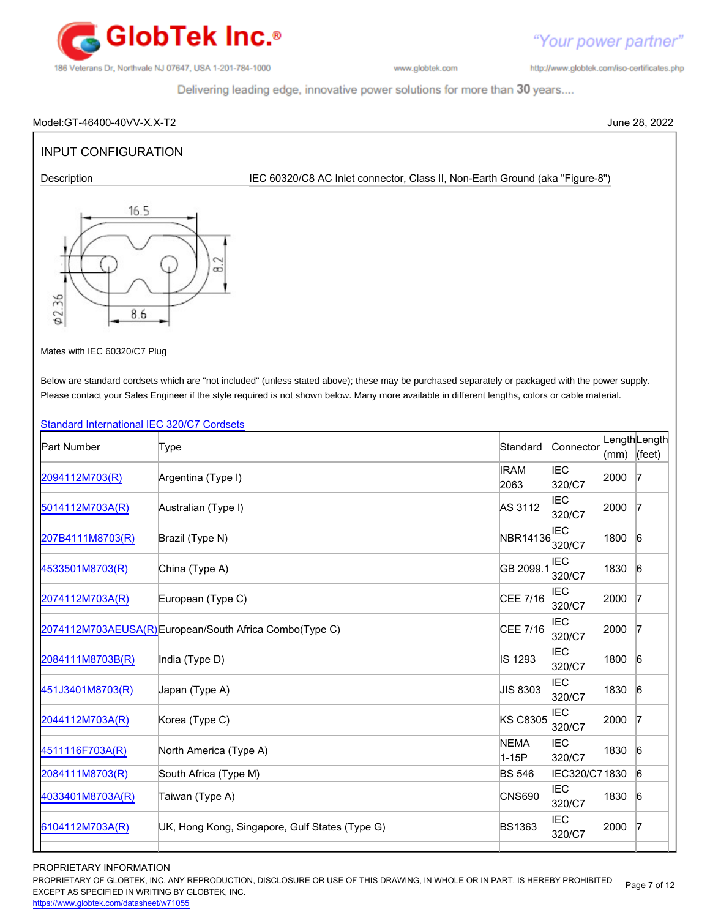

http://www.globtek.com/iso-certificates.php

"Your power partner"

Delivering leading edge, innovative power solutions for more than 30 years....

#### Model:GT-46400-40VV-X.X-T2 June 28, 2022

## INPUT CONFIGURATION

Description **IEC 60320/C8 AC Inlet connector, Class II, Non-Earth Ground (aka "Figure-8")** 



Mates with IEC 60320/C7 Plug

Below are standard cordsets which are "not included" (unless stated above); these may be purchased separately or packaged with the power supply. Please contact your Sales Engineer if the style required is not shown below. Many more available in different lengths, colors or cable material.

#### [Standard International IEC 320/C7 Cordsets](http://www.globtek.com/pdf/international-cordset-with-iec-320_c7-703-connector/)

| <b>Part Number</b> | Type                                                    | Standard             | Connector            | (mm) | LengthLength<br>(feet) |
|--------------------|---------------------------------------------------------|----------------------|----------------------|------|------------------------|
| 2094112M703(R)     | Argentina (Type I)                                      | <b>IRAM</b><br>2063  | <b>IEC</b><br>320/C7 | 2000 | $\overline{7}$         |
| 5014112M703A(R)    | Australian (Type I)                                     | AS 3112              | <b>IEC</b><br>320/C7 | 2000 | $\overline{7}$         |
| 207B4111M8703(R)   | Brazil (Type N)                                         | NBR14136             | <b>IEC</b><br>320/C7 | 1800 | 6                      |
| 4533501M8703(R)    | China (Type A)                                          | GB 2099.1            | <b>IEC</b><br>320/C7 | 1830 | $6\overline{6}$        |
| 2074112M703A(R)    | European (Type C)                                       | CEE 7/16             | <b>IEC</b><br>320/C7 | 2000 | $\overline{7}$         |
|                    | 2074112M703AEUSA(R) European/South Africa Combo(Type C) | CEE 7/16             | IEC<br>320/C7        | 2000 | 17                     |
| 2084111M8703B(R)   | India (Type D)                                          | IS 1293              | <b>IEC</b><br>320/C7 | 1800 | $6\overline{6}$        |
| 451J3401M8703(R)   | Japan (Type A)                                          | JIS 8303             | <b>IEC</b><br>320/C7 | 1830 | 6                      |
| 2044112M703A(R)    | Korea (Type C)                                          | <b>KS C8305</b>      | IEC<br>320/C7        | 2000 | $\overline{7}$         |
| 4511116F703A(R)    | North America (Type A)                                  | <b>NEMA</b><br>1-15P | <b>IEC</b><br>320/C7 | 1830 | $6\overline{6}$        |
| 2084111M8703(R)    | South Africa (Type M)                                   | <b>BS 546</b>        | IEC320/C7 1830       |      | $6\overline{6}$        |
| 4033401M8703A(R)   | Taiwan (Type A)                                         | <b>CNS690</b>        | <b>IEC</b><br>320/C7 | 1830 | 6                      |
| 6104112M703A(R)    | UK, Hong Kong, Singapore, Gulf States (Type G)          | <b>BS1363</b>        | IEC<br>320/C7        | 2000 | $\overline{7}$         |
|                    |                                                         |                      |                      |      |                        |

#### PROPRIETARY INFORMATION

PROPRIETARY OF GLOBTEK, INC. ANY REPRODUCTION, DISCLOSURE OR USE OF THIS DRAWING, IN WHOLE OR IN PART, IS HEREBY PROHIBITED EXCEPT AS SPECIFIED IN WRITING BY GLOBTEK, INC. Page 7 of 12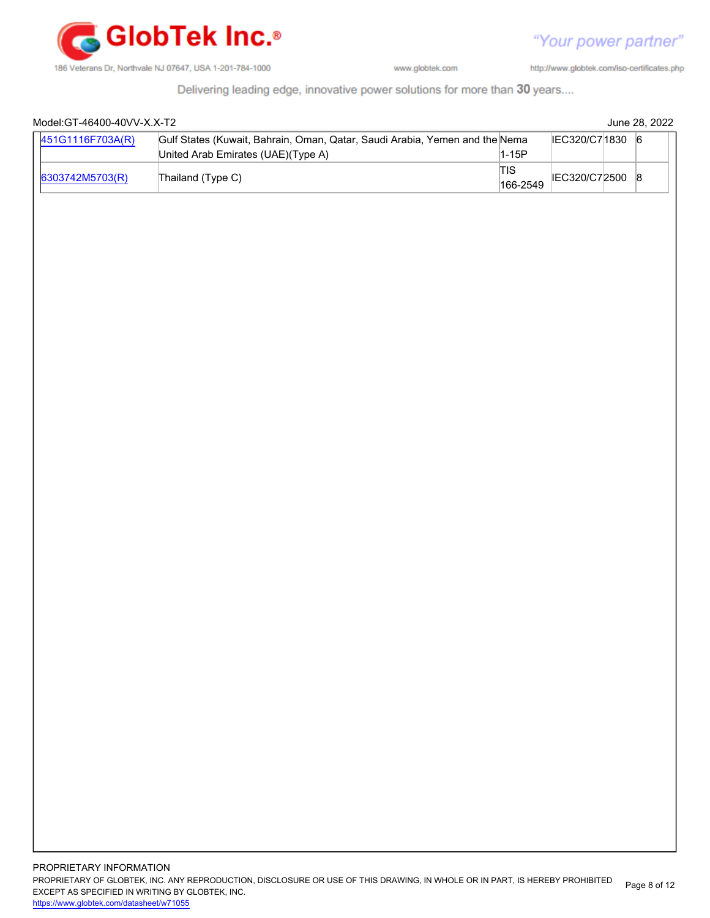

http://www.globtek.com/iso-certificates.php

Delivering leading edge, innovative power solutions for more than 30 years....

| 451G1116F703A(R) | Gulf States (Kuwait, Bahrain, Oman, Qatar, Saudi Arabia, Yemen and the Nema<br>United Arab Emirates (UAE)(Type A) | $1-15P$         | IEC320/C71830 6 |  |
|------------------|-------------------------------------------------------------------------------------------------------------------|-----------------|-----------------|--|
| 6303742M5703(R)  | Thailand (Type C)                                                                                                 | TIS<br>166-2549 | IEC320/C72500 8 |  |
|                  |                                                                                                                   |                 |                 |  |
|                  |                                                                                                                   |                 |                 |  |
|                  |                                                                                                                   |                 |                 |  |
|                  |                                                                                                                   |                 |                 |  |
|                  |                                                                                                                   |                 |                 |  |
|                  |                                                                                                                   |                 |                 |  |
|                  |                                                                                                                   |                 |                 |  |
|                  |                                                                                                                   |                 |                 |  |
|                  |                                                                                                                   |                 |                 |  |
|                  |                                                                                                                   |                 |                 |  |
|                  |                                                                                                                   |                 |                 |  |
|                  |                                                                                                                   |                 |                 |  |
|                  |                                                                                                                   |                 |                 |  |
|                  |                                                                                                                   |                 |                 |  |
|                  |                                                                                                                   |                 |                 |  |
|                  |                                                                                                                   |                 |                 |  |
|                  |                                                                                                                   |                 |                 |  |
|                  |                                                                                                                   |                 |                 |  |
|                  |                                                                                                                   |                 |                 |  |
|                  |                                                                                                                   |                 |                 |  |
|                  |                                                                                                                   |                 |                 |  |
|                  |                                                                                                                   |                 |                 |  |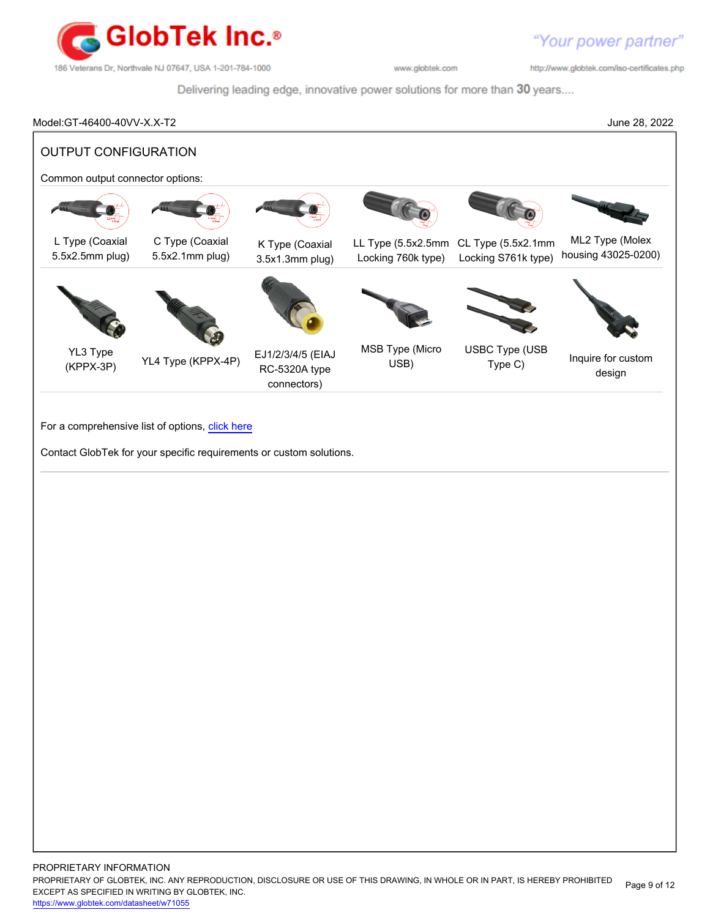

http://www.globtek.com/iso-certificates.php

Delivering leading edge, innovative power solutions for more than 30 years....

#### Model:GT-46400-40VV-X.X-T2 June 28, 2022

OUTPUT CONFIGURATION Common output connector options: L Type (Coaxial 5.5x2.5mm plug) C Type (Coaxial 5.5x2.1mm plug) K Type (Coaxial 3.5x1.3mm plug) LL Type (5.5x2.5mm CL Type (5.5x2.1mm Locking 760k type) Locking S761k type) ML2 Type (Molex housing 43025-0200) YL3 Type (KPPX-3P) YL4 Type (KPPX-4P) EJ1/2/3/4/5 (EIAJ RC-5320A type connectors) MSB Type (Micro USB) USBC Type (USB Type (CCC Inquire for custom design

For a comprehensive list of options, [click here](https://en.globtek.com/globtek-output-cordsets/)

Contact GlobTek for your specific requirements or custom solutions.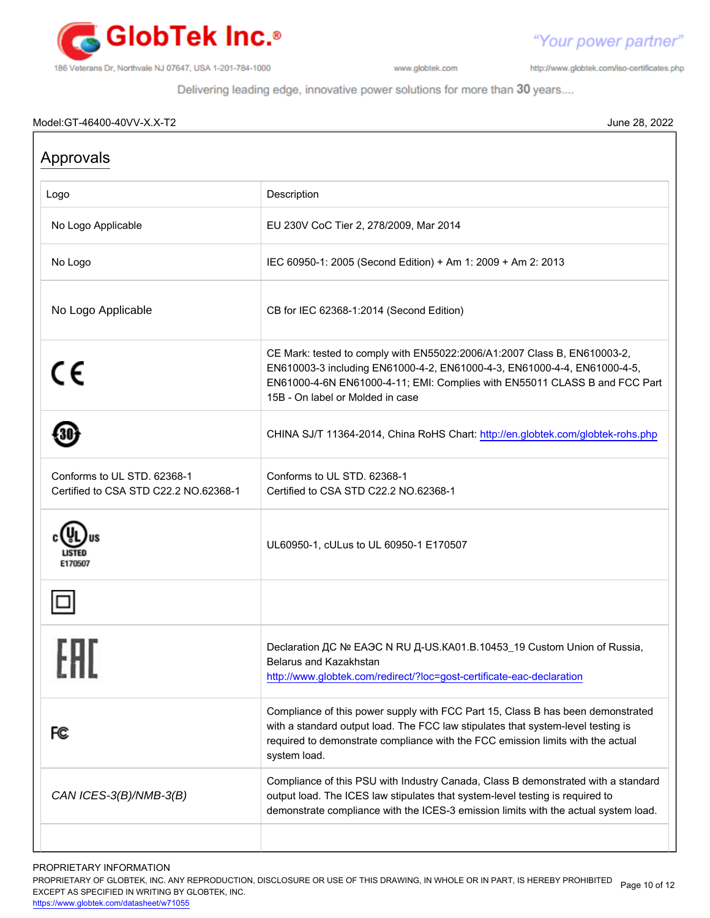

http://www.globtek.com/iso-certificates.php

"Your power partner"

Delivering leading edge, innovative power solutions for more than 30 years....

#### Model:GT-46400-40VV-X.X-T2 June 28, 2022

| Approvals                                                            |                                                                                                                                                                                                                                                                        |
|----------------------------------------------------------------------|------------------------------------------------------------------------------------------------------------------------------------------------------------------------------------------------------------------------------------------------------------------------|
| Logo                                                                 | Description                                                                                                                                                                                                                                                            |
| No Logo Applicable                                                   | EU 230V CoC Tier 2, 278/2009, Mar 2014                                                                                                                                                                                                                                 |
| No Logo                                                              | IEC 60950-1: 2005 (Second Edition) + Am 1: 2009 + Am 2: 2013                                                                                                                                                                                                           |
| No Logo Applicable                                                   | CB for IEC 62368-1:2014 (Second Edition)                                                                                                                                                                                                                               |
| CE                                                                   | CE Mark: tested to comply with EN55022:2006/A1:2007 Class B, EN610003-2,<br>EN610003-3 including EN61000-4-2, EN61000-4-3, EN61000-4-4, EN61000-4-5,<br>EN61000-4-6N EN61000-4-11; EMI: Complies with EN55011 CLASS B and FCC Part<br>15B - On label or Molded in case |
|                                                                      | CHINA SJ/T 11364-2014, China RoHS Chart: http://en.globtek.com/globtek-rohs.php                                                                                                                                                                                        |
| Conforms to UL STD. 62368-1<br>Certified to CSA STD C22.2 NO.62368-1 | Conforms to UL STD, 62368-1<br>Certified to CSA STD C22.2 NO.62368-1                                                                                                                                                                                                   |
| E170507                                                              | UL60950-1, cULus to UL 60950-1 E170507                                                                                                                                                                                                                                 |
|                                                                      |                                                                                                                                                                                                                                                                        |
|                                                                      | Declaration <sub>AC</sub> Nº EAOC N RU A-US.KA01.B.10453_19 Custom Union of Russia,<br>Belarus and Kazakhstan<br>http://www.globtek.com/redirect/?loc=gost-certificate-eac-declaration                                                                                 |
| FC                                                                   | Compliance of this power supply with FCC Part 15, Class B has been demonstrated<br>with a standard output load. The FCC law stipulates that system-level testing is<br>required to demonstrate compliance with the FCC emission limits with the actual<br>system load. |
| CAN ICES-3(B)/NMB-3(B)                                               | Compliance of this PSU with Industry Canada, Class B demonstrated with a standard<br>output load. The ICES law stipulates that system-level testing is required to<br>demonstrate compliance with the ICES-3 emission limits with the actual system load.              |
|                                                                      |                                                                                                                                                                                                                                                                        |

PROPRIETARY INFORMATION

PROPRIETARY OF GLOBTEK, INC. ANY REPRODUCTION, DISCLOSURE OR USE OF THIS DRAWING, IN WHOLE OR IN PART, IS HEREBY PROHIBITED Page 10 of 12<br>EXALER 10 OREGIEIER WILKENIG BY OLOREEK WO EXCEPT AS SPECIFIED IN WRITING BY GLOBTEK, INC.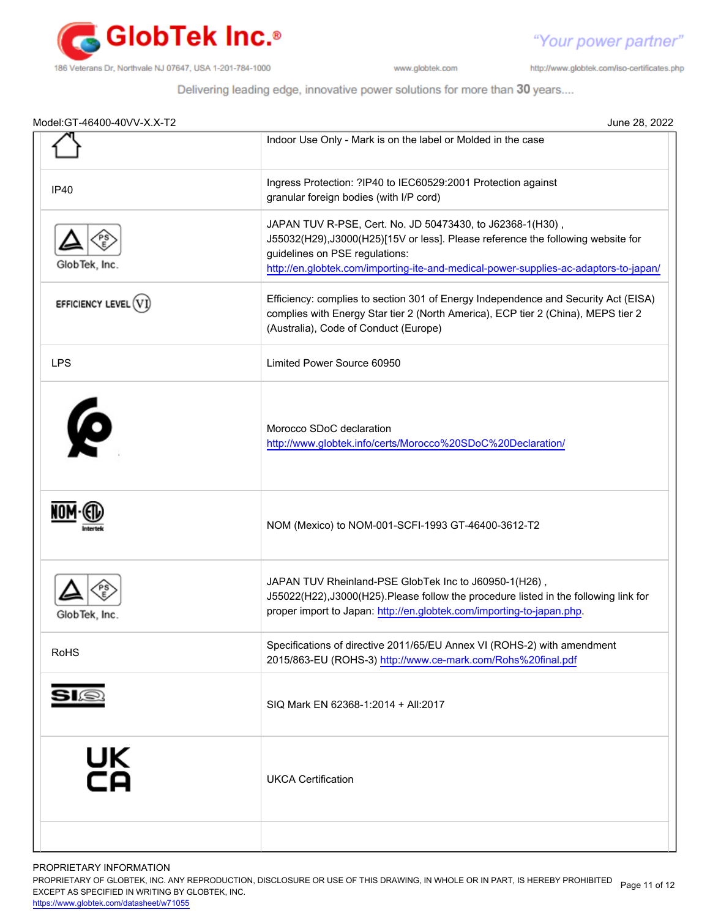

http://www.globtek.com/iso-certificates.php

"Your power partner"

Delivering leading edge, innovative power solutions for more than 30 years....

| Model: GT-46400-40VV-X.X-T2 | June 28, 2022                                                                                                                                                                                                                                                           |
|-----------------------------|-------------------------------------------------------------------------------------------------------------------------------------------------------------------------------------------------------------------------------------------------------------------------|
|                             | Indoor Use Only - Mark is on the label or Molded in the case                                                                                                                                                                                                            |
| <b>IP40</b>                 | Ingress Protection: ?IP40 to IEC60529:2001 Protection against<br>granular foreign bodies (with I/P cord)                                                                                                                                                                |
| GlobTek, Inc.               | JAPAN TUV R-PSE, Cert. No. JD 50473430, to J62368-1(H30),<br>J55032(H29), J3000(H25)[15V or less]. Please reference the following website for<br>guidelines on PSE regulations:<br>http://en.globtek.com/importing-ite-and-medical-power-supplies-ac-adaptors-to-japan/ |
| EFFICIENCY LEVEL (V)        | Efficiency: complies to section 301 of Energy Independence and Security Act (EISA)<br>complies with Energy Star tier 2 (North America), ECP tier 2 (China), MEPS tier 2<br>(Australia), Code of Conduct (Europe)                                                        |
| <b>LPS</b>                  | Limited Power Source 60950                                                                                                                                                                                                                                              |
| Ø                           | Morocco SDoC declaration<br>http://www.globtek.info/certs/Morocco%20SDoC%20Declaration/                                                                                                                                                                                 |
|                             | NOM (Mexico) to NOM-001-SCFI-1993 GT-46400-3612-T2                                                                                                                                                                                                                      |
| GlobTek, Inc                | JAPAN TUV Rheinland-PSE GlobTek Inc to J60950-1(H26),<br>J55022(H22), J3000(H25). Please follow the procedure listed in the following link for<br>proper import to Japan: http://en.globtek.com/importing-to-japan.php.                                                 |
| <b>RoHS</b>                 | Specifications of directive 2011/65/EU Annex VI (ROHS-2) with amendment<br>2015/863-EU (ROHS-3) http://www.ce-mark.com/Rohs%20final.pdf                                                                                                                                 |
|                             | SIQ Mark EN 62368-1:2014 + All:2017                                                                                                                                                                                                                                     |
| UK<br>CA                    | <b>UKCA Certification</b>                                                                                                                                                                                                                                               |
|                             |                                                                                                                                                                                                                                                                         |

PROPRIETARY INFORMATION

PROPRIETARY OF GLOBTEK, INC. ANY REPRODUCTION, DISCLOSURE OR USE OF THIS DRAWING, IN WHOLE OR IN PART, IS HEREBY PROHIBITED Page 11 of 12<br>EXALER 10 OREGIEIER WILKENIG BY OLOREEK WO EXCEPT AS SPECIFIED IN WRITING BY GLOBTEK, INC.